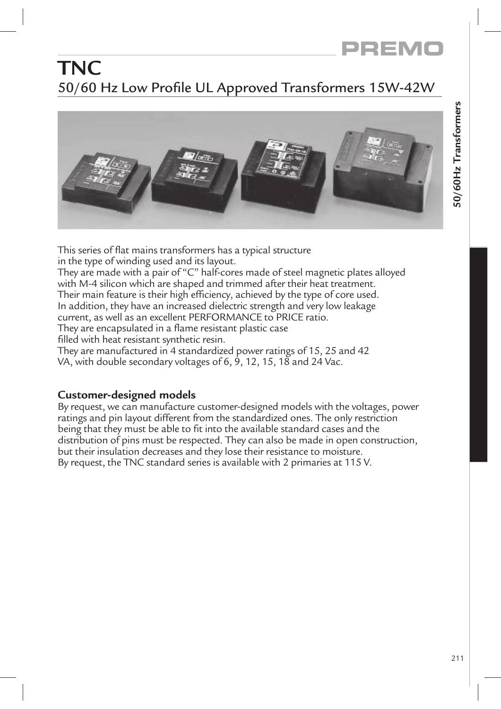# **TNC** 50/60 Hz Low Profile UL Approved Transformers 15W-42W



This series of flat mains transformers has a typical structure in the type of winding used and its layout. They are made with a pair of "C" half-cores made of steel magnetic plates alloyed with M-4 silicon which are shaped and trimmed after their heat treatment. Their main feature is their high efficiency, achieved by the type of core used. In addition, they have an increased dielectric strength and very low leakage current, as well as an excellent PERFORMANCE to PRICE ratio. They are encapsulated in a flame resistant plastic case filled with heat resistant synthetic resin. They are manufactured in 4 standardized power ratings of 15, 25 and 42 VA, with double secondary voltages of 6, 9, 12, 15, 18 and 24 Vac.

### **Customer-designed models**

By request, we can manufacture customer-designed models with the voltages, power ratings and pin layout different from the standardized ones. The only restriction being that they must be able to fit into the available standard cases and the distribution of pins must be respected. They can also be made in open construction, but their insulation decreases and they lose their resistance to moisture. By request, the TNC standard series is available with 2 primaries at 115 V.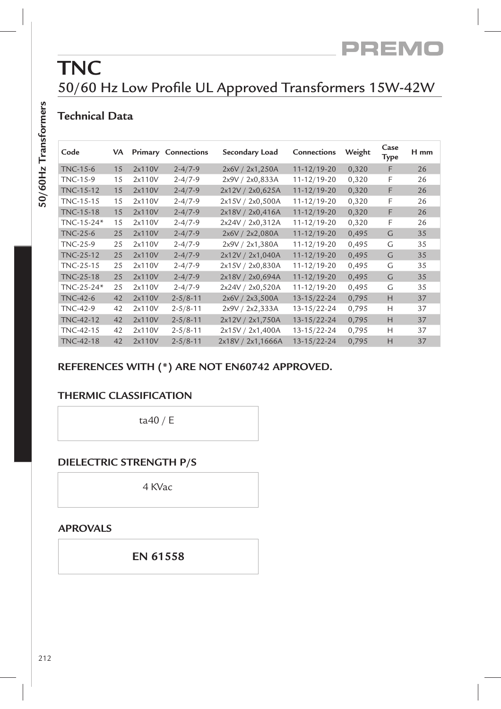## **TNC** 50/60 Hz Low Profile UL Approved Transformers 15W-42W

### **Technical Data**

| ١                          |  |
|----------------------------|--|
| l<br>I<br>י<br>י<br>י<br>l |  |
|                            |  |
|                            |  |
|                            |  |
|                            |  |
|                            |  |
|                            |  |
|                            |  |
| 1                          |  |

| Code             | VA. |        | <b>Primary Connections</b> | Secondary Load    | Connections       | Weight | Case<br>Type | H mm |
|------------------|-----|--------|----------------------------|-------------------|-------------------|--------|--------------|------|
| <b>TNC-15-6</b>  | 15  | 2x110V | $2 - 4/7 - 9$              | 2x6V / 2x1,250A   | $11 - 12/19 - 20$ | 0,320  | F            | 26   |
| <b>TNC-15-9</b>  | 15  | 2x110V | $2 - 4/7 - 9$              | 2x9V / 2x0,833A   | 11-12/19-20       | 0,320  | F            | 26   |
| TNC-15-12        | 15  | 2x110V | $2 - 4/7 - 9$              | 2x12V / 2x0,625A  | $11 - 12/19 - 20$ | 0,320  | F            | 26   |
| TNC-15-15        | 15  | 2x110V | $2 - 4/7 - 9$              | 2x15V / 2x0,500A  | 11-12/19-20       | 0,320  | F            | 26   |
| TNC-15-18        | 15  | 2x110V | $2 - 4/7 - 9$              | 2x18V / 2x0,416A  | $11 - 12/19 - 20$ | 0,320  | F            | 26   |
| TNC-15-24*       | 15  | 2x110V | $2 - 4/7 - 9$              | 2x24V / 2x0,312A  | 11-12/19-20       | 0,320  | F            | 26   |
| $TNC-25-6$       | 25  | 2x110V | $2 - 4/7 - 9$              | 2x6V / 2x2,080A   | $11 - 12/19 - 20$ | 0,495  | G            | 35   |
| TNC-25-9         | 25  | 2x110V | $2 - 4/7 - 9$              | 2x9V / 2x1,380A   | 11-12/19-20       | 0,495  | G            | 35   |
| <b>TNC-25-12</b> | 25  | 2x110V | $2 - 4/7 - 9$              | 2x12V / 2x1,040A  | $11 - 12/19 - 20$ | 0,495  | G            | 35   |
| TNC-25-15        | 25  | 2x110V | $2 - 4/7 - 9$              | 2x15V / 2x0,830A  | 11-12/19-20       | 0,495  | G            | 35   |
| <b>TNC-25-18</b> | 25  | 2x110V | $2 - 4/7 - 9$              | 2x18V / 2x0,694A  | $11 - 12/19 - 20$ | 0,495  | G            | 35   |
| TNC-25-24*       | 25  | 2x110V | $2 - 4/7 - 9$              | 2x24V / 2x0,520A  | 11-12/19-20       | 0,495  | G            | 35   |
| TNC-42-6         | 42  | 2x110V | $2 - 5/8 - 11$             | 2x6V / 2x3,500A   | $13 - 15/22 - 24$ | 0,795  | H            | 37   |
| <b>TNC-42-9</b>  | 42  | 2x110V | $2 - 5/8 - 11$             | 2x9V / 2x2,333A   | 13-15/22-24       | 0,795  | Н            | 37   |
| TNC-42-12        | 42  | 2x110V | $2 - 5/8 - 11$             | 2x12V / 2x1,750A  | $13 - 15/22 - 24$ | 0,795  | H            | 37   |
| TNC-42-15        | 42  | 2x110V | $2 - 5/8 - 11$             | 2x15V / 2x1,400A  | 13-15/22-24       | 0,795  | Н            | 37   |
| TNC-42-18        | 42  | 2x110V | $2 - 5/8 - 11$             | 2x18V / 2x1,1666A | $13 - 15/22 - 24$ | 0,795  | H            | 37   |

#### **REFERENCES WITH (\*) ARE NOT EN60742 APPROVED.**

#### **THERMIC CLASSIFICATION**

ta40 / E

#### **DIELECTRIC STRENGTH P/S**

4 KVac

#### **APROVALS**

**EN 61558**